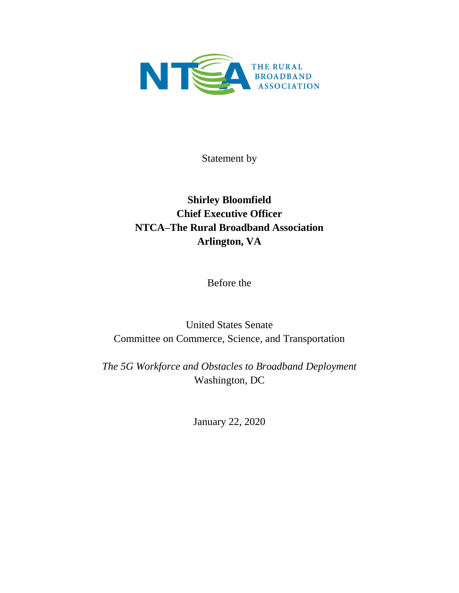

Statement by

## **Shirley Bloomfield Chief Executive Officer NTCA–The Rural Broadband Association Arlington, VA**

Before the

United States Senate Committee on Commerce, Science, and Transportation

*The 5G Workforce and Obstacles to Broadband Deployment* Washington, DC

January 22, 2020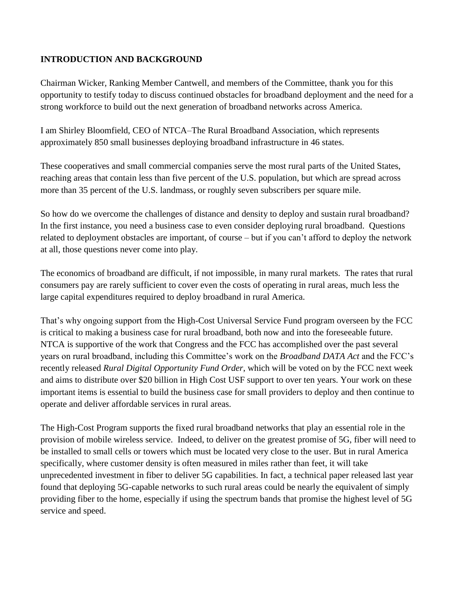## **INTRODUCTION AND BACKGROUND**

Chairman Wicker, Ranking Member Cantwell, and members of the Committee, thank you for this opportunity to testify today to discuss continued obstacles for broadband deployment and the need for a strong workforce to build out the next generation of broadband networks across America.

I am Shirley Bloomfield, CEO of NTCA–The Rural Broadband Association, which represents approximately 850 small businesses deploying broadband infrastructure in 46 states.

These cooperatives and small commercial companies serve the most rural parts of the United States, reaching areas that contain less than five percent of the U.S. population, but which are spread across more than 35 percent of the U.S. landmass, or roughly seven subscribers per square mile.

So how do we overcome the challenges of distance and density to deploy and sustain rural broadband? In the first instance, you need a business case to even consider deploying rural broadband. Questions related to deployment obstacles are important, of course – but if you can't afford to deploy the network at all, those questions never come into play.

The economics of broadband are difficult, if not impossible, in many rural markets. The rates that rural consumers pay are rarely sufficient to cover even the costs of operating in rural areas, much less the large capital expenditures required to deploy broadband in rural America.

That's why ongoing support from the High-Cost Universal Service Fund program overseen by the FCC is critical to making a business case for rural broadband, both now and into the foreseeable future. NTCA is supportive of the work that Congress and the FCC has accomplished over the past several years on rural broadband, including this Committee's work on the *Broadband DATA Act* and the FCC's recently released *Rural Digital Opportunity Fund Order*, which will be voted on by the FCC next week and aims to distribute over \$20 billion in High Cost USF support to over ten years. Your work on these important items is essential to build the business case for small providers to deploy and then continue to operate and deliver affordable services in rural areas.

The High-Cost Program supports the fixed rural broadband networks that play an essential role in the provision of mobile wireless service. Indeed, to deliver on the greatest promise of 5G, fiber will need to be installed to small cells or towers which must be located very close to the user. But in rural America specifically, where customer density is often measured in miles rather than feet, it will take unprecedented investment in fiber to deliver 5G capabilities. In fact, a technical paper released last year found that deploying 5G-capable networks to such rural areas could be nearly the equivalent of simply providing fiber to the home, especially if using the spectrum bands that promise the highest level of 5G service and speed.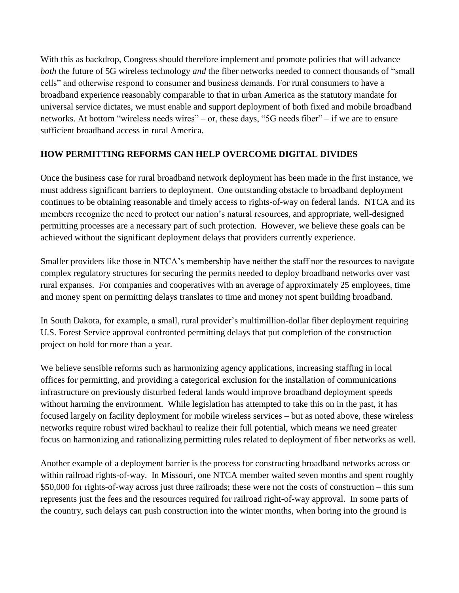With this as backdrop, Congress should therefore implement and promote policies that will advance *both* the future of 5G wireless technology *and* the fiber networks needed to connect thousands of "small" cells" and otherwise respond to consumer and business demands. For rural consumers to have a broadband experience reasonably comparable to that in urban America as the statutory mandate for universal service dictates, we must enable and support deployment of both fixed and mobile broadband networks. At bottom "wireless needs wires" – or, these days, "5G needs fiber" – if we are to ensure sufficient broadband access in rural America.

## **HOW PERMITTING REFORMS CAN HELP OVERCOME DIGITAL DIVIDES**

Once the business case for rural broadband network deployment has been made in the first instance, we must address significant barriers to deployment. One outstanding obstacle to broadband deployment continues to be obtaining reasonable and timely access to rights-of-way on federal lands. NTCA and its members recognize the need to protect our nation's natural resources, and appropriate, well-designed permitting processes are a necessary part of such protection. However, we believe these goals can be achieved without the significant deployment delays that providers currently experience.

Smaller providers like those in NTCA's membership have neither the staff nor the resources to navigate complex regulatory structures for securing the permits needed to deploy broadband networks over vast rural expanses. For companies and cooperatives with an average of approximately 25 employees, time and money spent on permitting delays translates to time and money not spent building broadband.

In South Dakota, for example, a small, rural provider's multimillion-dollar fiber deployment requiring U.S. Forest Service approval confronted permitting delays that put completion of the construction project on hold for more than a year.

We believe sensible reforms such as harmonizing agency applications, increasing staffing in local offices for permitting, and providing a categorical exclusion for the installation of communications infrastructure on previously disturbed federal lands would improve broadband deployment speeds without harming the environment. While legislation has attempted to take this on in the past, it has focused largely on facility deployment for mobile wireless services – but as noted above, these wireless networks require robust wired backhaul to realize their full potential, which means we need greater focus on harmonizing and rationalizing permitting rules related to deployment of fiber networks as well.

Another example of a deployment barrier is the process for constructing broadband networks across or within railroad rights-of-way. In Missouri, one NTCA member waited seven months and spent roughly \$50,000 for rights-of-way across just three railroads; these were not the costs of construction – this sum represents just the fees and the resources required for railroad right-of-way approval. In some parts of the country, such delays can push construction into the winter months, when boring into the ground is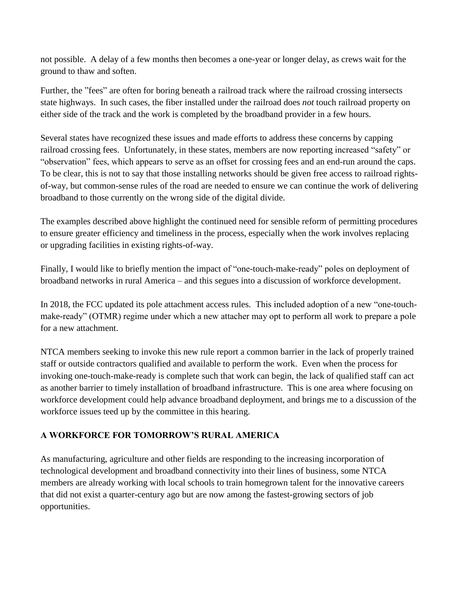not possible. A delay of a few months then becomes a one-year or longer delay, as crews wait for the ground to thaw and soften.

Further, the "fees" are often for boring beneath a railroad track where the railroad crossing intersects state highways. In such cases, the fiber installed under the railroad does *not* touch railroad property on either side of the track and the work is completed by the broadband provider in a few hours.

Several states have recognized these issues and made efforts to address these concerns by capping railroad crossing fees. Unfortunately, in these states, members are now reporting increased "safety" or "observation" fees, which appears to serve as an offset for crossing fees and an end-run around the caps. To be clear, this is not to say that those installing networks should be given free access to railroad rightsof-way, but common-sense rules of the road are needed to ensure we can continue the work of delivering broadband to those currently on the wrong side of the digital divide.

The examples described above highlight the continued need for sensible reform of permitting procedures to ensure greater efficiency and timeliness in the process, especially when the work involves replacing or upgrading facilities in existing rights-of-way.

Finally, I would like to briefly mention the impact of "one-touch-make-ready" poles on deployment of broadband networks in rural America – and this segues into a discussion of workforce development.

In 2018, the FCC updated its pole attachment access rules. This included adoption of a new "one-touchmake-ready" (OTMR) regime under which a new attacher may opt to perform all work to prepare a pole for a new attachment.

NTCA members seeking to invoke this new rule report a common barrier in the lack of properly trained staff or outside contractors qualified and available to perform the work. Even when the process for invoking one-touch-make-ready is complete such that work can begin, the lack of qualified staff can act as another barrier to timely installation of broadband infrastructure. This is one area where focusing on workforce development could help advance broadband deployment, and brings me to a discussion of the workforce issues teed up by the committee in this hearing.

## **A WORKFORCE FOR TOMORROW'S RURAL AMERICA**

As manufacturing, agriculture and other fields are responding to the increasing incorporation of technological development and broadband connectivity into their lines of business, some NTCA members are already working with local schools to train homegrown talent for the innovative careers that did not exist a quarter-century ago but are now among the fastest-growing sectors of job opportunities.